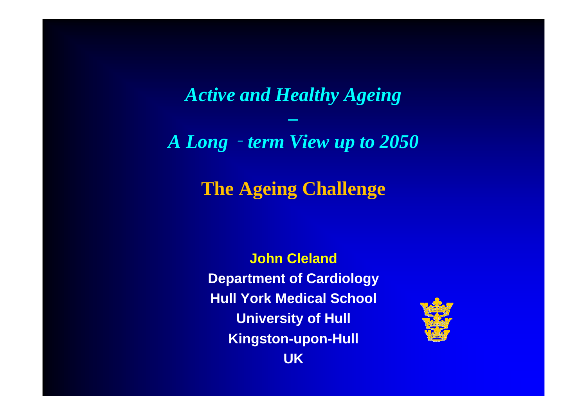*Active and Healthy Ageing* 

*A Long*‐*term View up to 2050*

*–*

# **The Ageing Challenge**

**John Cleland Department of Cardiology Hull York Medical School University of Hull Kingston-upon-Hull UK**

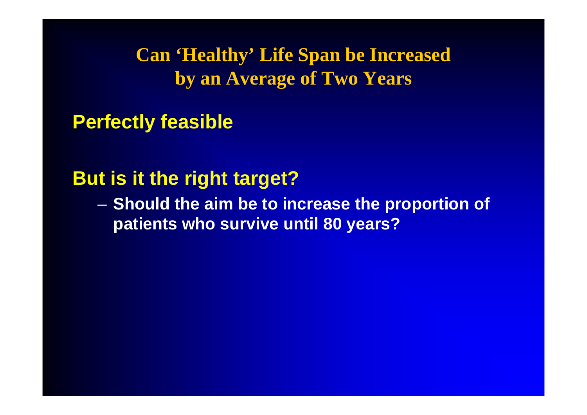**Can 'Healthy' Life Span be Increased by an Average of Two Years**

**Perfectly feasible**

## **But is it the right target?**

 **Should the aim be to increase the proportion of patients who survive until 80 years?**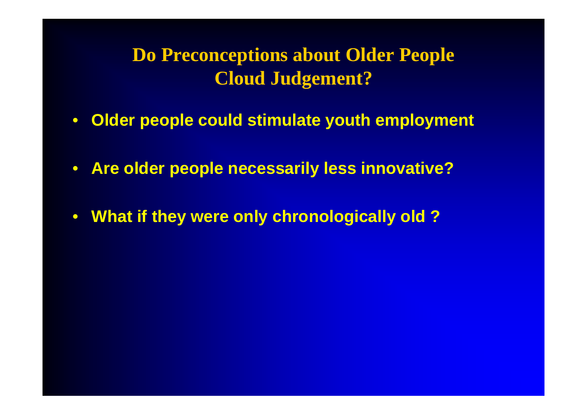# **Do Preconceptions about Older People Cloud Judgement?**

- **Older people could stimulate youth employment**
- **Are older people necessarily less innovative?**
- **What if they were only chronologically old ?**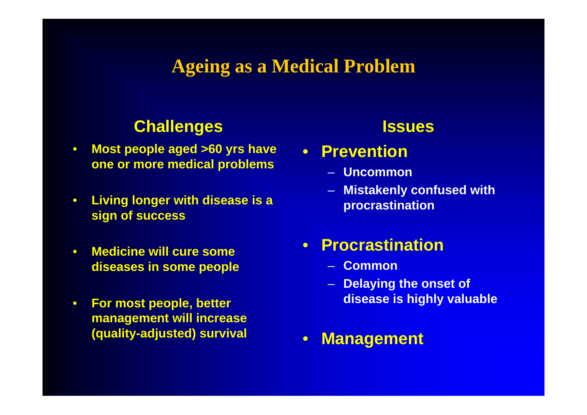#### **Ageing as a Medical Problem**

#### **Challenges**

- $\bullet$  **Most people aged >60 yrs have one or more medical problems**
- $\bullet$  **Living longer with disease is a sign of success**
- $\bullet$  **Medicine will cure some diseases in some people**
- $\bullet$  **For most people, better management will increase (quality-adjusted) survival**

#### **Issues**

- **Prevention** 
	- **Uncommon**
	- **Mistakenly confused with procrastination**
- **Procrastination**
	- **Common**
	- **Delaying the onset of disease is highly valuable**
- $\bullet$ **Management**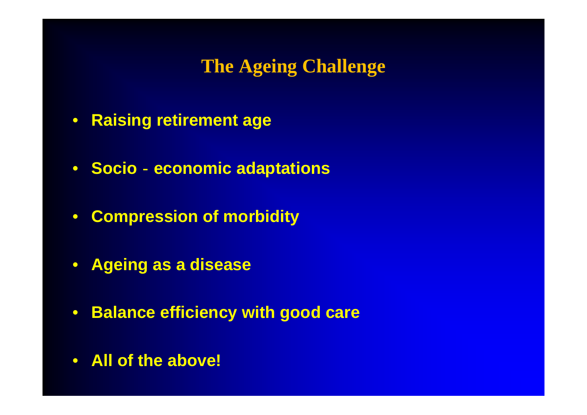# **The Ageing Challenge**

- **Raising retirement age**
- **Socio** ‐**economic adaptations**
- **Compression of morbidity**
- **Ageing as a disease**
- **Balance efficiency with good care**
- **All of the above!**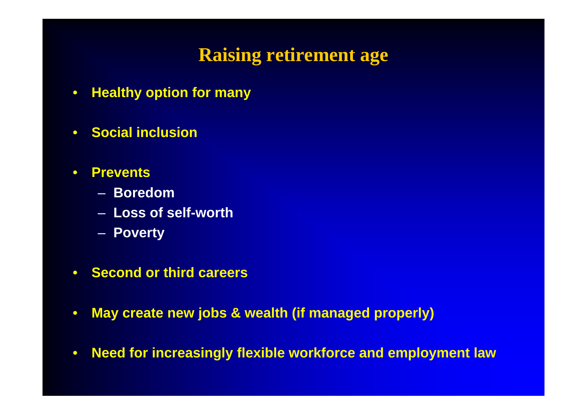# **Raising retirement age**

- **Healthy option for many**
- **Social inclusion**
- $\bullet$  **Prevents** 
	- **Boredom**
	- **Loss of self-worth**
	- **A** Poverty
- **Second or third careers**
- $\bullet$ **May create new jobs & wealth (if managed properly)**
- $\bullet$ **Need for increasingly flexible workforce and employment law**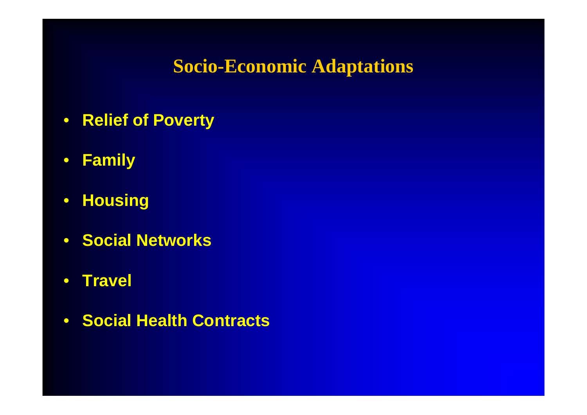## **Socio-Economic Adaptations**

- •**Relief of Poverty**
- $\bullet$ **Family**
- $\bullet$ **Housing**
- **Social Networks**
- •**Travel**
- $\bullet$ **Social Health Contracts**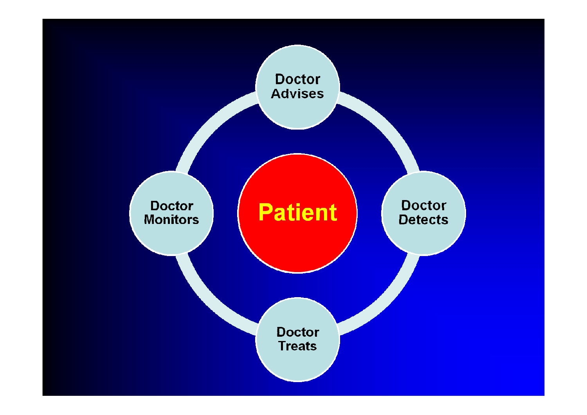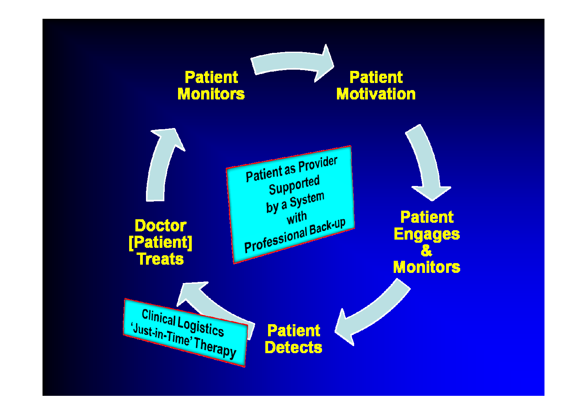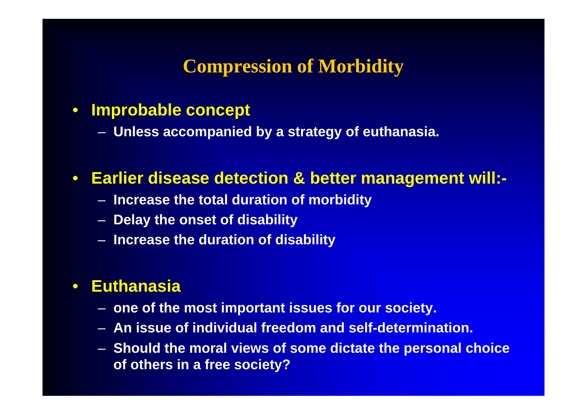#### **Compression of Morbidity**

#### • **Improbable concept**

**Unless accompanied by a strategy of euthanasia.**

#### • **Earlier disease detection & better management will:-**

- **Increase the total duration of morbidity**
- **Delay the onset of disability**
- **Increase the duration of disability**

#### $\bullet$ **Euthanasia**

- **one of the most important issues for our society.**
- **An issue of individual freedom and self-determination.**
- **Should the moral views of some dictate the personal choice of others in a free society?**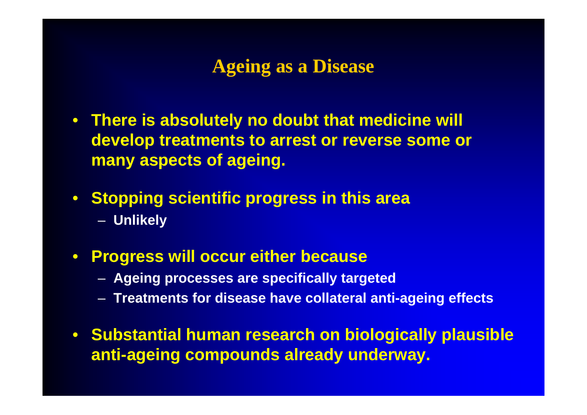#### **Ageing as a Disease**

- **There is absolutely no doubt that medicine will develop treatments to arrest or reverse some or many aspects of ageing.**
- **Stopping scientific progress in this area Unlikely**
- **Progress will occur either because**
	- **Ageing processes are specifically targeted**
	- **Treatments for disease have collateral anti-ageing effects**
- **Substantial human research on biologically plausible anti-ageing compounds already underway.**